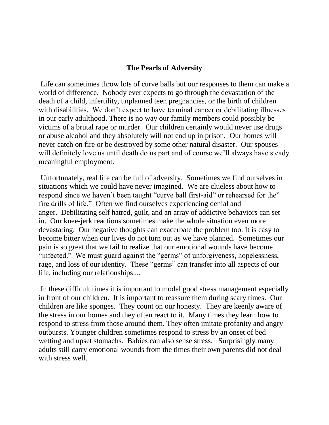## **The Pearls of Adversity**

Life can sometimes throw lots of curve balls but our responses to them can make a world of difference. Nobody ever expects to go through the devastation of the death of a child, infertility, unplanned teen pregnancies, or the birth of children with disabilities. We don't expect to have terminal cancer or debilitating illnesses in our early adulthood. There is no way our family members could possibly be victims of a brutal rape or murder. Our children certainly would never use drugs or abuse alcohol and they absolutely will not end up in prison. Our homes will never catch on fire or be destroyed by some other natural disaster. Our spouses will definitely love us until death do us part and of course we'll always have steady meaningful employment.

Unfortunately, real life can be full of adversity. Sometimes we find ourselves in situations which we could have never imagined. We are clueless about how to respond since we haven't been taught "curve ball first-aid" or rehearsed for the" fire drills of life." Often we find ourselves experiencing denial and anger. Debilitating self hatred, guilt, and an array of addictive behaviors can set in. Our knee-jerk reactions sometimes make the whole situation even more devastating. Our negative thoughts can exacerbate the problem too. It is easy to become bitter when our lives do not turn out as we have planned. Sometimes our pain is so great that we fail to realize that our emotional wounds have become "infected." We must guard against the "germs" of unforgiveness, hopelessness, rage, and loss of our identity. These "germs" can transfer into all aspects of our life, including our relationships....

In these difficult times it is important to model good stress management especially in front of our children. It is important to reassure them during scary times. Our children are like sponges. They count on our honesty. They are keenly aware of the stress in our homes and they often react to it. Many times they learn how to respond to stress from those around them. They often imitate profanity and angry outbursts. Younger children sometimes respond to stress by an onset of bed wetting and upset stomachs. Babies can also sense stress. Surprisingly many adults still carry emotional wounds from the times their own parents did not deal with stress well.